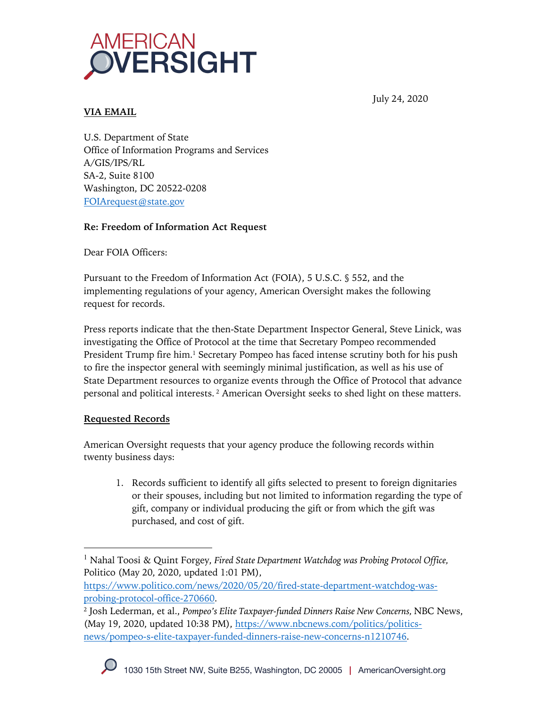

July 24, 2020

## **VIA EMAIL**

U.S. Department of State Office of Information Programs and Services A/GIS/IPS/RL SA-2, Suite 8100 Washington, DC 20522-0208 FOIArequest@state.gov

### **Re: Freedom of Information Act Request**

Dear FOIA Officers:

Pursuant to the Freedom of Information Act (FOIA), 5 U.S.C. § 552, and the implementing regulations of your agency, American Oversight makes the following request for records.

Press reports indicate that the then-State Department Inspector General, Steve Linick, was investigating the Office of Protocol at the time that Secretary Pompeo recommended President Trump fire him. <sup>1</sup> Secretary Pompeo has faced intense scrutiny both for his push to fire the inspector general with seemingly minimal justification, as well as his use of State Department resources to organize events through the Office of Protocol that advance personal and political interests. <sup>2</sup> American Oversight seeks to shed light on these matters.

### **Requested Records**

American Oversight requests that your agency produce the following records within twenty business days:

1. Records sufficient to identify all gifts selected to present to foreign dignitaries or their spouses, including but not limited to information regarding the type of gift, company or individual producing the gift or from which the gift was purchased, and cost of gift.

<sup>1</sup> Nahal Toosi & Quint Forgey, *Fired State Department Watchdog was Probing Protocol Office,*  Politico (May 20, 2020, updated 1:01 PM),

https://www.politico.com/news/2020/05/20/fired-state-department-watchdog-wasprobing-protocol-office-270660.

<sup>2</sup> Josh Lederman, et al., *Pompeo's Elite Taxpayer-funded Dinners Raise New Concerns,* NBC News, (May 19, 2020, updated 10:38 PM), https://www.nbcnews.com/politics/politicsnews/pompeo-s-elite-taxpayer-funded-dinners-raise-new-concerns-n1210746.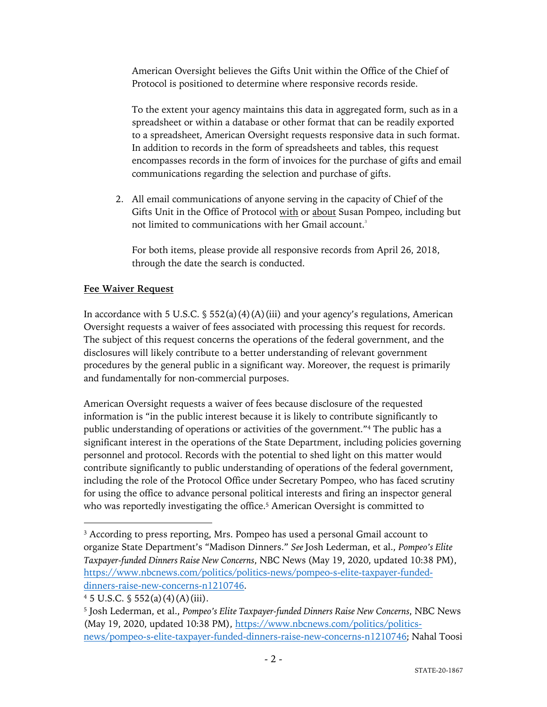American Oversight believes the Gifts Unit within the Office of the Chief of Protocol is positioned to determine where responsive records reside.

To the extent your agency maintains this data in aggregated form, such as in a spreadsheet or within a database or other format that can be readily exported to a spreadsheet, American Oversight requests responsive data in such format. In addition to records in the form of spreadsheets and tables, this request encompasses records in the form of invoices for the purchase of gifts and email communications regarding the selection and purchase of gifts.

2. All email communications of anyone serving in the capacity of Chief of the Gifts Unit in the Office of Protocol with or about Susan Pompeo, including but not limited to communications with her Gmail account. 3

For both items, please provide all responsive records from April 26, 2018, through the date the search is conducted.

# **Fee Waiver Request**

In accordance with 5 U.S.C.  $\frac{1}{5}$  552(a)(4)(A)(iii) and your agency's regulations, American Oversight requests a waiver of fees associated with processing this request for records. The subject of this request concerns the operations of the federal government, and the disclosures will likely contribute to a better understanding of relevant government procedures by the general public in a significant way. Moreover, the request is primarily and fundamentally for non-commercial purposes.

American Oversight requests a waiver of fees because disclosure of the requested information is "in the public interest because it is likely to contribute significantly to public understanding of operations or activities of the government."4 The public has a significant interest in the operations of the State Department, including policies governing personnel and protocol. Records with the potential to shed light on this matter would contribute significantly to public understanding of operations of the federal government, including the role of the Protocol Office under Secretary Pompeo, who has faced scrutiny for using the office to advance personal political interests and firing an inspector general who was reportedly investigating the office. <sup>5</sup> American Oversight is committed to

<sup>&</sup>lt;sup>3</sup> According to press reporting, Mrs. Pompeo has used a personal Gmail account to organize State Department's "Madison Dinners." *See* Josh Lederman, et al., *Pompeo's Elite Taxpayer-funded Dinners Raise New Concerns*, NBC News (May 19, 2020, updated 10:38 PM), https://www.nbcnews.com/politics/politics-news/pompeo-s-elite-taxpayer-fundeddinners-raise-new-concerns-n1210746.

 $4\,5$  U.S.C.  $\frac{5\,52(a)(4)(A)(iii)}{2}$ .

<sup>5</sup> Josh Lederman, et al., *Pompeo's Elite Taxpayer-funded Dinners Raise New Concerns*, NBC News (May 19, 2020, updated 10:38 PM), https://www.nbcnews.com/politics/politicsnews/pompeo-s-elite-taxpayer-funded-dinners-raise-new-concerns-n1210746; Nahal Toosi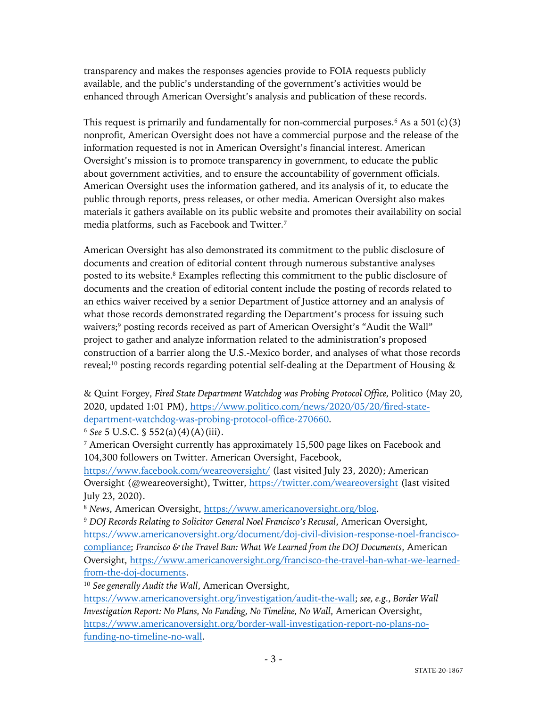transparency and makes the responses agencies provide to FOIA requests publicly available, and the public's understanding of the government's activities would be enhanced through American Oversight's analysis and publication of these records.

This request is primarily and fundamentally for non-commercial purposes.<sup>6</sup> As a  $501(c)(3)$ nonprofit, American Oversight does not have a commercial purpose and the release of the information requested is not in American Oversight's financial interest. American Oversight's mission is to promote transparency in government, to educate the public about government activities, and to ensure the accountability of government officials. American Oversight uses the information gathered, and its analysis of it, to educate the public through reports, press releases, or other media. American Oversight also makes materials it gathers available on its public website and promotes their availability on social media platforms, such as Facebook and Twitter.7

American Oversight has also demonstrated its commitment to the public disclosure of documents and creation of editorial content through numerous substantive analyses posted to its website.8 Examples reflecting this commitment to the public disclosure of documents and the creation of editorial content include the posting of records related to an ethics waiver received by a senior Department of Justice attorney and an analysis of what those records demonstrated regarding the Department's process for issuing such waivers;<sup>9</sup> posting records received as part of American Oversight's "Audit the Wall" project to gather and analyze information related to the administration's proposed construction of a barrier along the U.S.-Mexico border, and analyses of what those records reveal;<sup>10</sup> posting records regarding potential self-dealing at the Department of Housing  $\&$ 

<sup>6</sup> *See* 5 U.S.C. § 552(a)(4)(A)(iii).

<sup>&</sup>amp; Quint Forgey, *Fired State Department Watchdog was Probing Protocol Office,* Politico (May 20, 2020, updated 1:01 PM), https://www.politico.com/news/2020/05/20/fired-statedepartment-watchdog-was-probing-protocol-office-270660.

<sup>7</sup> American Oversight currently has approximately 15,500 page likes on Facebook and 104,300 followers on Twitter. American Oversight, Facebook,

https://www.facebook.com/weareoversight/ (last visited July 23, 2020); American Oversight (@weareoversight), Twitter, https://twitter.com/weareoversight (last visited July 23, 2020).

<sup>8</sup> *News*, American Oversight, https://www.americanoversight.org/blog.

<sup>9</sup> *DOJ Records Relating to Solicitor General Noel Francisco's Recusal*, American Oversight, https://www.americanoversight.org/document/doj-civil-division-response-noel-franciscocompliance; *Francisco & the Travel Ban: What We Learned from the DOJ Documents*, American Oversight, https://www.americanoversight.org/francisco-the-travel-ban-what-we-learnedfrom-the-doj-documents.

<sup>10</sup> *See generally Audit the Wall*, American Oversight,

https://www.americanoversight.org/investigation/audit-the-wall; *see, e.g.*, *Border Wall Investigation Report: No Plans, No Funding, No Timeline, No Wall*, American Oversight, https://www.americanoversight.org/border-wall-investigation-report-no-plans-nofunding-no-timeline-no-wall.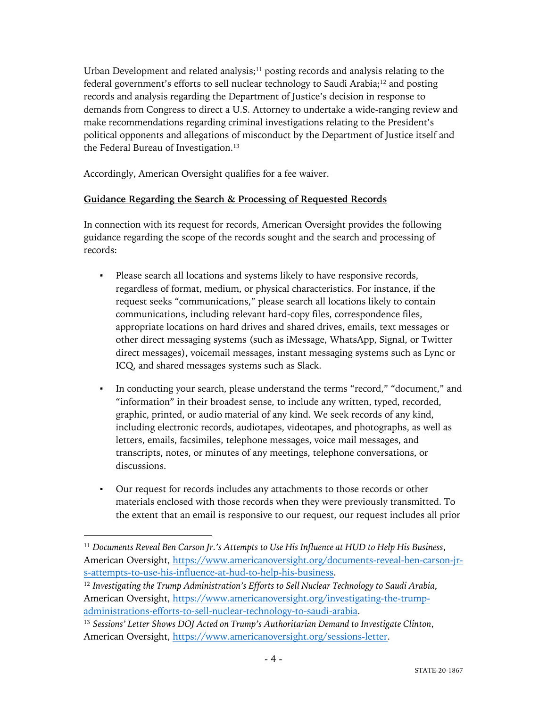Urban Development and related analysis; $11$  posting records and analysis relating to the federal government's efforts to sell nuclear technology to Saudi Arabia;<sup>12</sup> and posting records and analysis regarding the Department of Justice's decision in response to demands from Congress to direct a U.S. Attorney to undertake a wide-ranging review and make recommendations regarding criminal investigations relating to the President's political opponents and allegations of misconduct by the Department of Justice itself and the Federal Bureau of Investigation.<sup>13</sup>

Accordingly, American Oversight qualifies for a fee waiver.

## **Guidance Regarding the Search & Processing of Requested Records**

In connection with its request for records, American Oversight provides the following guidance regarding the scope of the records sought and the search and processing of records:

- Please search all locations and systems likely to have responsive records, regardless of format, medium, or physical characteristics. For instance, if the request seeks "communications," please search all locations likely to contain communications, including relevant hard-copy files, correspondence files, appropriate locations on hard drives and shared drives, emails, text messages or other direct messaging systems (such as iMessage, WhatsApp, Signal, or Twitter direct messages), voicemail messages, instant messaging systems such as Lync or ICQ, and shared messages systems such as Slack.
- In conducting your search, please understand the terms "record," "document," and "information" in their broadest sense, to include any written, typed, recorded, graphic, printed, or audio material of any kind. We seek records of any kind, including electronic records, audiotapes, videotapes, and photographs, as well as letters, emails, facsimiles, telephone messages, voice mail messages, and transcripts, notes, or minutes of any meetings, telephone conversations, or discussions.
- Our request for records includes any attachments to those records or other materials enclosed with those records when they were previously transmitted. To the extent that an email is responsive to our request, our request includes all prior

<sup>11</sup> *Documents Reveal Ben Carson Jr.'s Attempts to Use His Influence at HUD to Help His Business*, American Oversight, https://www.americanoversight.org/documents-reveal-ben-carson-jrs-attempts-to-use-his-influence-at-hud-to-help-his-business.

<sup>12</sup> *Investigating the Trump Administration's Efforts to Sell Nuclear Technology to Saudi Arabia*, American Oversight, https://www.americanoversight.org/investigating-the-trumpadministrations-efforts-to-sell-nuclear-technology-to-saudi-arabia.

<sup>13</sup> *Sessions' Letter Shows DOJ Acted on Trump's Authoritarian Demand to Investigate Clinton*, American Oversight, https://www.americanoversight.org/sessions-letter.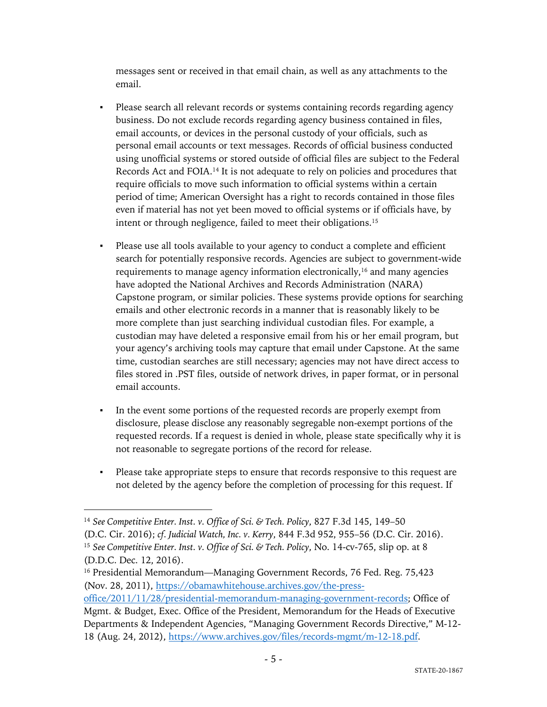messages sent or received in that email chain, as well as any attachments to the email.

- Please search all relevant records or systems containing records regarding agency business. Do not exclude records regarding agency business contained in files, email accounts, or devices in the personal custody of your officials, such as personal email accounts or text messages. Records of official business conducted using unofficial systems or stored outside of official files are subject to the Federal Records Act and FOIA.14 It is not adequate to rely on policies and procedures that require officials to move such information to official systems within a certain period of time; American Oversight has a right to records contained in those files even if material has not yet been moved to official systems or if officials have, by intent or through negligence, failed to meet their obligations.<sup>15</sup>
- Please use all tools available to your agency to conduct a complete and efficient search for potentially responsive records. Agencies are subject to government-wide requirements to manage agency information electronically,16 and many agencies have adopted the National Archives and Records Administration (NARA) Capstone program, or similar policies. These systems provide options for searching emails and other electronic records in a manner that is reasonably likely to be more complete than just searching individual custodian files. For example, a custodian may have deleted a responsive email from his or her email program, but your agency's archiving tools may capture that email under Capstone. At the same time, custodian searches are still necessary; agencies may not have direct access to files stored in .PST files, outside of network drives, in paper format, or in personal email accounts.
- In the event some portions of the requested records are properly exempt from disclosure, please disclose any reasonably segregable non-exempt portions of the requested records. If a request is denied in whole, please state specifically why it is not reasonable to segregate portions of the record for release.
- Please take appropriate steps to ensure that records responsive to this request are not deleted by the agency before the completion of processing for this request. If

<sup>14</sup> *See Competitive Enter. Inst. v. Office of Sci. & Tech. Policy*, 827 F.3d 145, 149–50 (D.C. Cir. 2016); *cf. Judicial Watch, Inc. v. Kerry*, 844 F.3d 952, 955–56 (D.C. Cir. 2016). <sup>15</sup> *See Competitive Enter. Inst. v. Office of Sci. & Tech. Policy*, No. 14-cv-765, slip op. at 8 (D.D.C. Dec. 12, 2016).

<sup>&</sup>lt;sup>16</sup> Presidential Memorandum—Managing Government Records, 76 Fed. Reg. 75,423 (Nov. 28, 2011), https://obamawhitehouse.archives.gov/the-press-

office/2011/11/28/presidential-memorandum-managing-government-records; Office of Mgmt. & Budget, Exec. Office of the President, Memorandum for the Heads of Executive Departments & Independent Agencies, "Managing Government Records Directive," M-12- 18 (Aug. 24, 2012), https://www.archives.gov/files/records-mgmt/m-12-18.pdf.